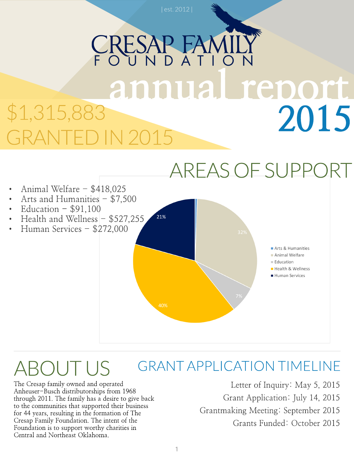## RESAP FAMILY<br>OUND ATION<br>ANNUAL TEDOIT 2015 \$1,315,883 GRANTED IN 2015



Animal Welfare - \$418,025 Arts and Humanities  $-$  \$7,500 Education  $-$  \$91,100 Health and Wellness  $-$  \$527,255 21% Human Services - \$272,000 Arts & Humanities Animal Welfare Education Health & Wellness Human Services

### GRANTAPPLICATION TIMELINE ROUTUS

The Cresap family owned and operated Anheuser-Busch distributorships from 1968 through 2011. The family has a desire to give back to the communities that supported their business for 44 years, resulting in the formation of The Cresap Family Foundation. The intent of the Foundation is to support worthy charities in Central and Northeast Oklahoma.

Letter of Inquiry: May 5, 2015 Grant Application: July 14, 2015 Grantmaking Meeting: September 2015 Grants Funded: October 2015